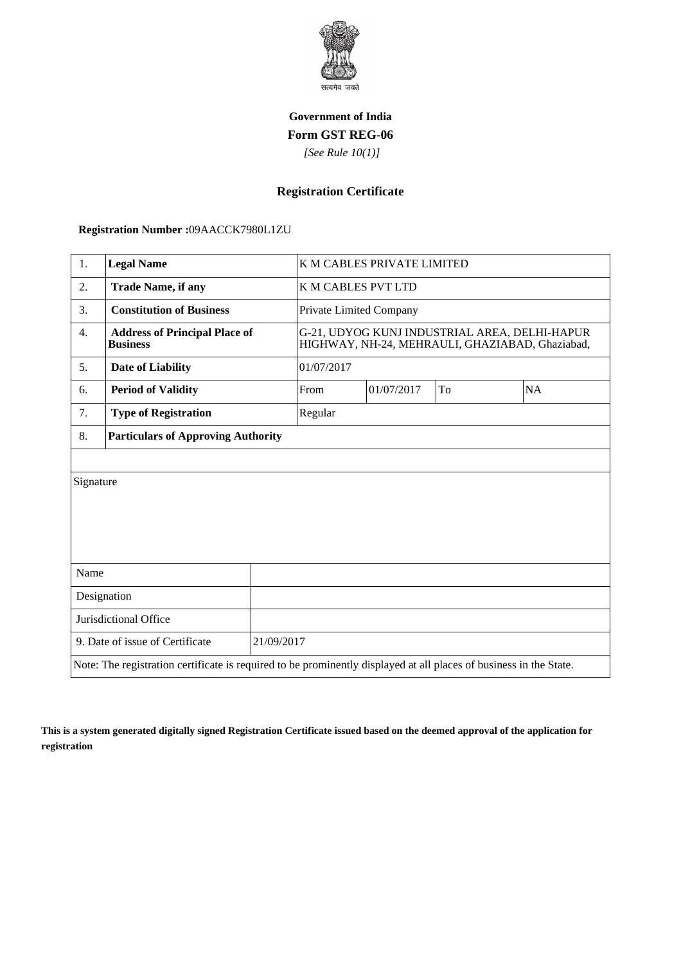

## **Government of India Form GST REG-06**

 *[See Rule 10(1)]*

## **Registration Certificate**

 **Registration Number :**09AACCK7980L1ZU

| 1.                                                                                                                 | <b>Legal Name</b>                                       |            | K M CABLES PRIVATE LIMITED                                                                       |    |    |
|--------------------------------------------------------------------------------------------------------------------|---------------------------------------------------------|------------|--------------------------------------------------------------------------------------------------|----|----|
| 2.                                                                                                                 | <b>Trade Name, if any</b>                               |            | K M CABLES PVT LTD                                                                               |    |    |
| 3.                                                                                                                 | <b>Constitution of Business</b>                         |            | Private Limited Company                                                                          |    |    |
| 4.                                                                                                                 | <b>Address of Principal Place of</b><br><b>Business</b> |            | G-21, UDYOG KUNJ INDUSTRIAL AREA, DELHI-HAPUR<br>HIGHWAY, NH-24, MEHRAULI, GHAZIABAD, Ghaziabad, |    |    |
| 5.                                                                                                                 | <b>Date of Liability</b>                                | 01/07/2017 |                                                                                                  |    |    |
| 6.                                                                                                                 | <b>Period of Validity</b>                               | From       | 01/07/2017                                                                                       | To | NA |
| 7.                                                                                                                 | <b>Type of Registration</b>                             | Regular    |                                                                                                  |    |    |
| 8.                                                                                                                 | <b>Particulars of Approving Authority</b>               |            |                                                                                                  |    |    |
|                                                                                                                    |                                                         |            |                                                                                                  |    |    |
| Signature                                                                                                          |                                                         |            |                                                                                                  |    |    |
|                                                                                                                    |                                                         |            |                                                                                                  |    |    |
|                                                                                                                    |                                                         |            |                                                                                                  |    |    |
|                                                                                                                    |                                                         |            |                                                                                                  |    |    |
| Name                                                                                                               |                                                         |            |                                                                                                  |    |    |
| Designation                                                                                                        |                                                         |            |                                                                                                  |    |    |
| Jurisdictional Office                                                                                              |                                                         |            |                                                                                                  |    |    |
| 9. Date of issue of Certificate                                                                                    |                                                         | 21/09/2017 |                                                                                                  |    |    |
| Note: The registration certificate is required to be prominently displayed at all places of business in the State. |                                                         |            |                                                                                                  |    |    |

**This is a system generated digitally signed Registration Certificate issued based on the deemed approval of the application for registration**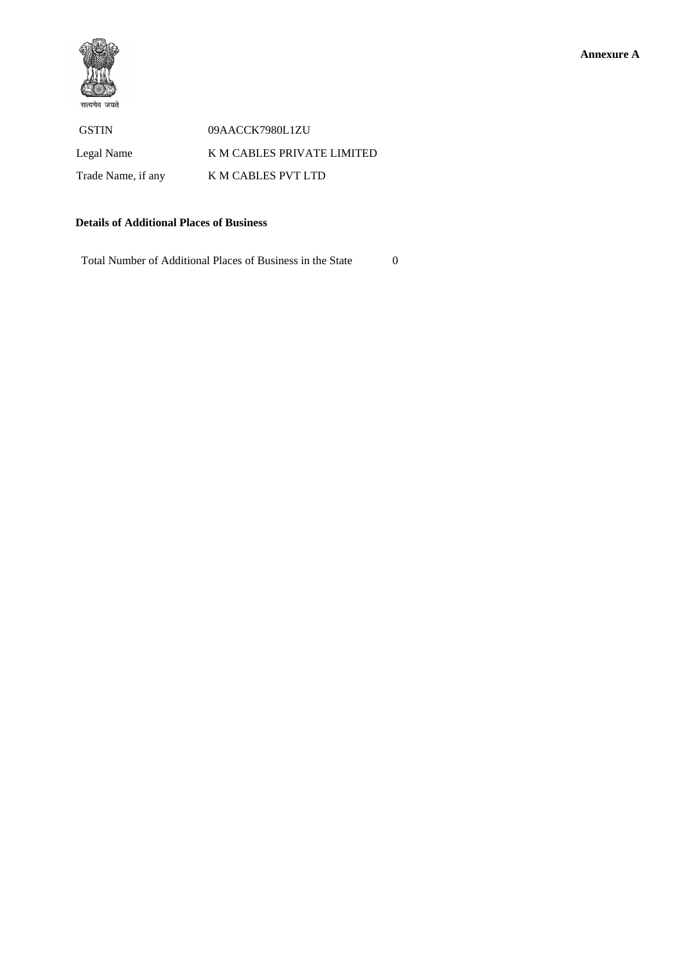

GSTIN 09AACCK7980L1ZU Legal Name K M CABLES PRIVATE LIMITED Trade Name, if any K M CABLES PVT LTD

## **Details of Additional Places of Business**

Total Number of Additional Places of Business in the State 0